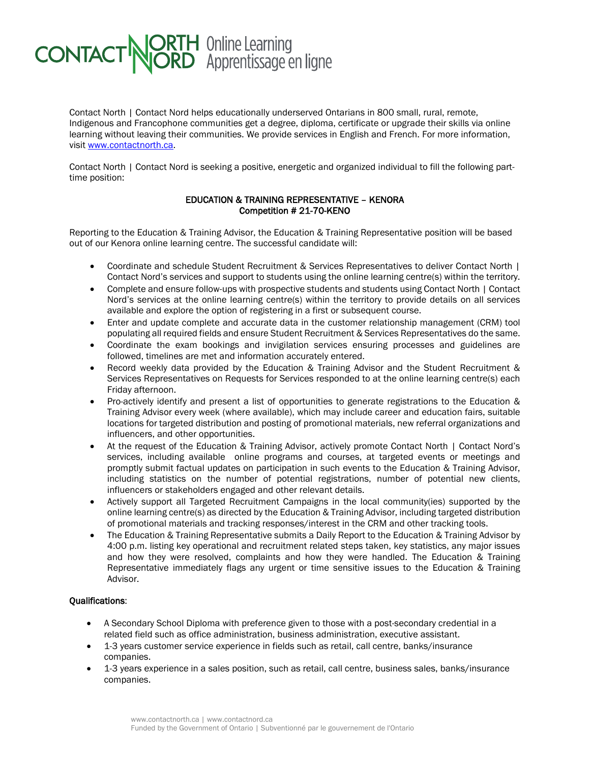

Contact North | Contact Nord helps educationally underserved Ontarians in 800 small, rural, remote, Indigenous and Francophone communities get a degree, diploma, certificate or upgrade their skills via online learning without leaving their communities. We provide services in English and French. For more information, visit [www.contactnorth.ca.](http://www.contactnorth.ca/)

Contact North | Contact Nord is seeking a positive, energetic and organized individual to fill the following parttime position:

## EDUCATION & TRAINING REPRESENTATIVE – KENORA Competition # 21-70-KENO

Reporting to the Education & Training Advisor, the Education & Training Representative position will be based out of our Kenora online learning centre. The successful candidate will:

- Coordinate and schedule Student Recruitment & Services Representatives to deliver Contact North | Contact Nord's services and support to students using the online learning centre(s) within the territory.
- Complete and ensure follow-ups with prospective students and students using Contact North | Contact Nord's services at the online learning centre(s) within the territory to provide details on all services available and explore the option of registering in a first or subsequent course.
- Enter and update complete and accurate data in the customer relationship management (CRM) tool populating all required fields and ensure Student Recruitment & Services Representatives do the same.
- Coordinate the exam bookings and invigilation services ensuring processes and guidelines are followed, timelines are met and information accurately entered.
- Record weekly data provided by the Education & Training Advisor and the Student Recruitment & Services Representatives on Requests for Services responded to at the online learning centre(s) each Friday afternoon.
- Pro-actively identify and present a list of opportunities to generate registrations to the Education & Training Advisor every week (where available), which may include career and education fairs, suitable locations for targeted distribution and posting of promotional materials, new referral organizations and influencers, and other opportunities.
- At the request of the Education & Training Advisor, actively promote Contact North | Contact Nord's services, including available online programs and courses, at targeted events or meetings and promptly submit factual updates on participation in such events to the Education & Training Advisor, including statistics on the number of potential registrations, number of potential new clients, influencers or stakeholders engaged and other relevant details.
- Actively support all Targeted Recruitment Campaigns in the local community(ies) supported by the online learning centre(s) as directed by the Education & Training Advisor, including targeted distribution of promotional materials and tracking responses/interest in the CRM and other tracking tools.
- The Education & Training Representative submits a Daily Report to the Education & Training Advisor by 4:00 p.m. listing key operational and recruitment related steps taken, key statistics, any major issues and how they were resolved, complaints and how they were handled. The Education & Training Representative immediately flags any urgent or time sensitive issues to the Education & Training Advisor.

## Qualifications:

- A Secondary School Diploma with preference given to those with a post-secondary credential in a related field such as office administration, business administration, executive assistant.
- 1-3 years customer service experience in fields such as retail, call centre, banks/insurance companies.
- 1-3 years experience in a sales position, such as retail, call centre, business sales, banks/insurance companies.